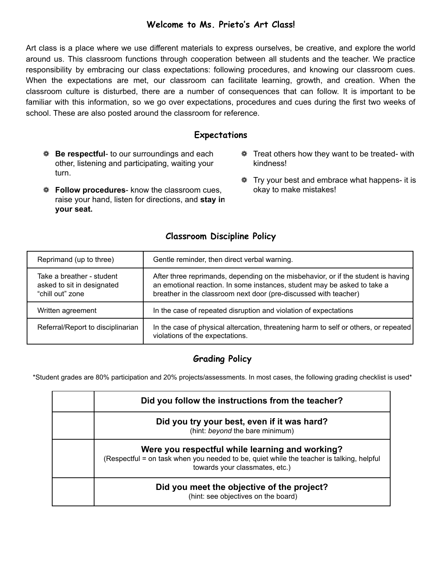## **Welcome to Ms. Prieto's Art Class!**

Art class is a place where we use different materials to express ourselves, be creative, and explore the world around us. This classroom functions through cooperation between all students and the teacher. We practice responsibility by embracing our class expectations: following procedures, and knowing our classroom cues. When the expectations are met, our classroom can facilitate learning, growth, and creation. When the classroom culture is disturbed, there are a number of consequences that can follow. It is important to be familiar with this information, so we go over expectations, procedures and cues during the first two weeks of school. These are also posted around the classroom for reference.

### **Expectations**

- ❁ **Be respectful** to our surroundings and each other, listening and participating, waiting your turn.
- ❁ **Follow procedures** know the classroom cues, raise your hand, listen for directions, and **stay in your seat.**
- ❁ Treat others how they want to be treated- with kindness!
- ❁ Try your best and embrace what happens- it is okay to make mistakes!

#### **Classroom Discipline Policy**

| Reprimand (up to three)                                                     | Gentle reminder, then direct verbal warning.                                                                                                                                                                                      |
|-----------------------------------------------------------------------------|-----------------------------------------------------------------------------------------------------------------------------------------------------------------------------------------------------------------------------------|
| Take a breather - student<br>asked to sit in designated<br>"chill out" zone | After three reprimands, depending on the misbehavior, or if the student is having<br>an emotional reaction. In some instances, student may be asked to take a<br>breather in the classroom next door (pre-discussed with teacher) |
| Written agreement                                                           | In the case of repeated disruption and violation of expectations                                                                                                                                                                  |
| Referral/Report to disciplinarian                                           | In the case of physical altercation, threatening harm to self or others, or repeated<br>violations of the expectations.                                                                                                           |

# **Grading Policy**

\*Student grades are 80% participation and 20% projects/assessments. In most cases, the following grading checklist is used\*

| Did you follow the instructions from the teacher?                                                                                                                             |
|-------------------------------------------------------------------------------------------------------------------------------------------------------------------------------|
| Did you try your best, even if it was hard?<br>(hint: beyond the bare minimum)                                                                                                |
| Were you respectful while learning and working?<br>(Respectful = on task when you needed to be, quiet while the teacher is talking, helpful<br>towards your classmates, etc.) |
| Did you meet the objective of the project?<br>(hint: see objectives on the board)                                                                                             |